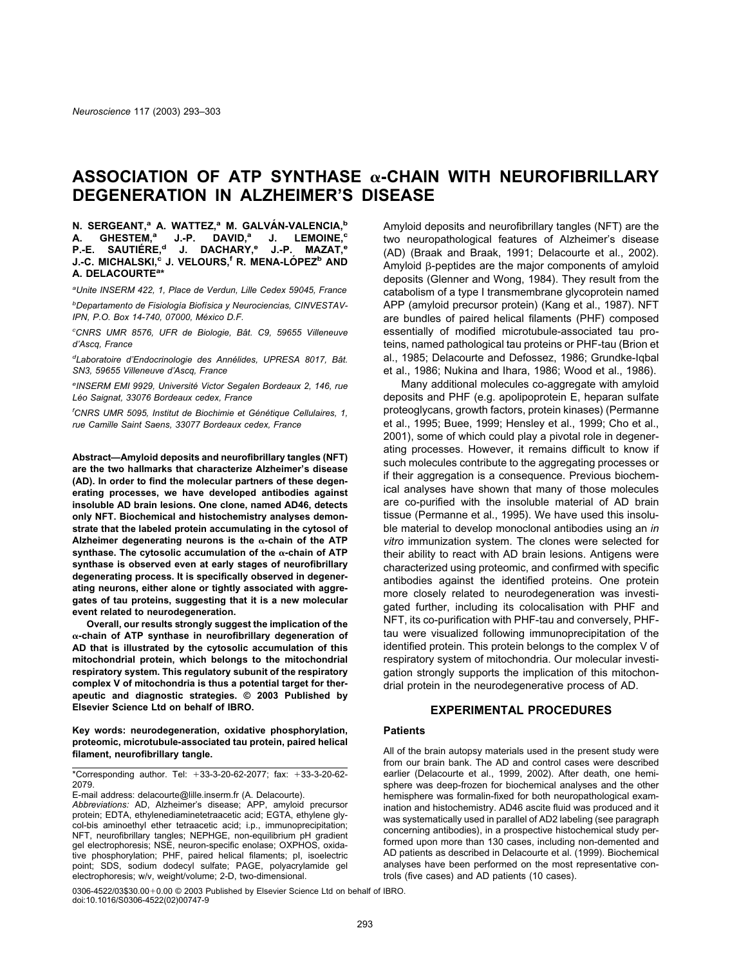# ASSOCIATION OF ATP SYNTHASE  $\alpha$ -CHAIN WITH NEUROFIBRILLARY **DEGENERATION IN ALZHEIMER'S DISEASE**

**N. SERGEANT,<sup>a</sup> A. WATTEZ,<sup>a</sup> M. GALVÁN-VALENCIA,<sup>b</sup><br>A. GHESTEM,<sup>a</sup> J.-P. DAVID,<sup>a</sup> J. LEMOINE,<sup>c</sup> A. GHESTEM,a J.-P. DAVID,a J. LEMOINE,c P.-E. SAUTIERE, ´ <sup>d</sup> J. DACHARY,e J.-P. MAZAT,e J.-C. MICHALSKI,c J. VELOURS,f R. MENA-LOPEZ ´ <sup>b</sup> AND A. DELACOURTEa \***

*a Unite INSERM 422, 1, Place de Verdun, Lille Cedex 59045, France <sup>b</sup>Departamento de Fisiología Biofísica y Neurociencias, CINVESTAV-*

*IPN, P.O. Box 14-740, 07000, México D.F. c CNRS UMR 8576, UFR de Biologie, Baˆt. C9, 59655 Villeneuve*

*d'Ascq, France* <sup>d</sup>Laboratoire d'Endocrinologie des Annélides, UPRESA 8017, Bât. *SN3, 59655 Villeneuve d'Ascq, France*

*e INSERM EMI 9929, Universite´ Victor Segalen Bordeaux 2, 146, rue Le´o Saignat, 33076 Bordeaux cedex, France*

<sup>f</sup> CNRS UMR 5095, Institut de Biochimie et Génétique Cellulaires, 1, *rue Camille Saint Saens, 33077 Bordeaux cedex, France*

**Abstract—Amyloid deposits and neurofibrillary tangles (NFT) are the two hallmarks that characterize Alzheimer's disease (AD). In order to find the molecular partners of these degenerating processes, we have developed antibodies against insoluble AD brain lesions. One clone, named AD46, detects only NFT. Biochemical and histochemistry analyses demonstrate that the labeled protein accumulating in the cytosol of** Alzheimer degenerating neurons is the  $\alpha$ -chain of the ATP synthase. The cytosolic accumulation of the  $\alpha$ -chain of ATP **synthase is observed even at early stages of neurofibrillary degenerating process. It is specifically observed in degenerating neurons, either alone or tightly associated with aggregates of tau proteins, suggesting that it is a new molecular event related to neurodegeneration.**

**Overall, our results strongly suggest the implication of the -chain of ATP synthase in neurofibrillary degeneration of AD that is illustrated by the cytosolic accumulation of this mitochondrial protein, which belongs to the mitochondrial respiratory system. This regulatory subunit of the respiratory complex V of mitochondria is thus a potential target for therapeutic and diagnostic strategies. © 2003 Published by Elsevier Science Ltd on behalf of IBRO.**

**Key words: neurodegeneration, oxidative phosphorylation, proteomic, microtubule-associated tau protein, paired helical filament, neurofibrillary tangle.**

\*Corresponding author. Tel: -33-3-20-62-2077; fax: -33-3-20-62- 2079.

E-mail address: delacourte@lille.inserm.fr (A. Delacourte). *Abbreviations:* AD, Alzheimer's disease; APP, amyloid precursor protein; EDTA, ethylenediaminetetraacetic acid; EGTA, ethylene glycol-bis aminoethyl ether tetraacetic acid; i.p., immunoprecipitation; NFT, neurofibrillary tangles; NEPHGE, non-equilibrium pH gradient gel electrophoresis; NSE, neuron-specific enolase; OXPHOS, oxidative phosphorylation; PHF, paired helical filaments; pI, isoelectric point; SDS, sodium dodecyl sulfate; PAGE, polyacrylamide gel electrophoresis; w/v, weight/volume; 2-D, two-dimensional.

0306-4522/03\$30.00+0.00 © 2003 Published by Elsevier Science Ltd on behalf of IBRO. doi:10.1016/S0306-4522(02)00747-9

Amyloid deposits and neurofibrillary tangles (NFT) are the two neuropathological features of Alzheimer's disease (AD) [\(Braak and Braak, 1991; Delacourte et al., 2002\)](#page-9-0). Amyloid B-peptides are the major components of amyloid deposits [\(Glenner and Wong, 1984\).](#page-9-0) They result from the catabolism of a type I transmembrane glycoprotein named APP (amyloid precursor protein) [\(Kang et al., 1987\).](#page-9-0) NFT are bundles of paired helical filaments (PHF) composed essentially of modified microtubule-associated tau proteins, named pathological tau proteins or PHF-tau [\(Brion et](#page-9-0) [al., 1985; Delacourte and Defossez, 1986; Grundke-Iqbal](#page-9-0) [et al., 1986; Nukina and Ihara, 1986; Wood et al., 1986\)](#page-9-0).

Many additional molecules co-aggregate with amyloid deposits and PHF (e.g. apolipoprotein E, heparan sulfate proteoglycans, growth factors, protein kinases) [\(Permanne](#page-10-0) [et al., 1995; Buee, 1999; Hensley et al., 1999; Cho et al.,](#page-10-0) [2001\),](#page-10-0) some of which could play a pivotal role in degenerating processes. However, it remains difficult to know if such molecules contribute to the aggregating processes or if their aggregation is a consequence. Previous biochemical analyses have shown that many of those molecules are co-purified with the insoluble material of AD brain tissue [\(Permanne et al., 1995\)](#page-10-0). We have used this insoluble material to develop monoclonal antibodies using an *in vitro* immunization system. The clones were selected for their ability to react with AD brain lesions. Antigens were characterized using proteomic, and confirmed with specific antibodies against the identified proteins. One protein more closely related to neurodegeneration was investigated further, including its colocalisation with PHF and NFT, its co-purification with PHF-tau and conversely, PHFtau were visualized following immunoprecipitation of the identified protein. This protein belongs to the complex V of respiratory system of mitochondria. Our molecular investigation strongly supports the implication of this mitochondrial protein in the neurodegenerative process of AD.

## **EXPERIMENTAL PROCEDURES**

#### **Patients**

All of the brain autopsy materials used in the present study were from our brain bank. The AD and control cases were described earlier [\(Delacourte et al., 1999, 2002\)](#page-9-0). After death, one hemisphere was deep-frozen for biochemical analyses and the other hemisphere was formalin-fixed for both neuropathological examination and histochemistry. AD46 ascite fluid was produced and it was systematically used in parallel of AD2 labeling (see paragraph concerning antibodies), in a prospective histochemical study performed upon more than 130 cases, including non-demented and AD patients as described in [Delacourte et al. \(1999\)](#page-9-0). Biochemical analyses have been performed on the most representative controls (five cases) and AD patients (10 cases).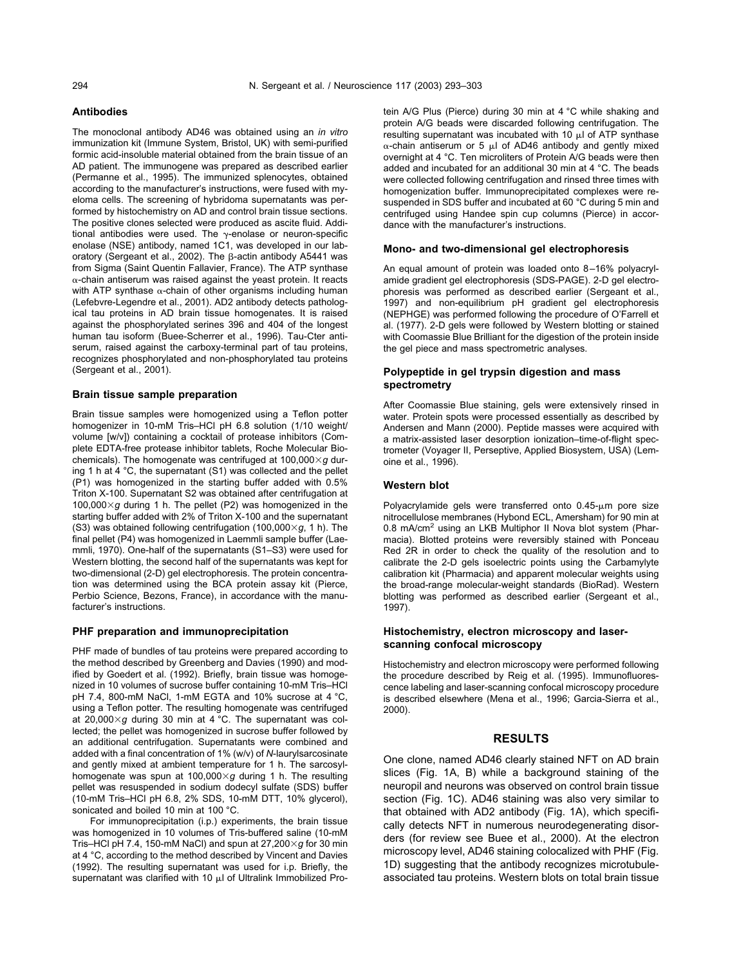#### **Antibodies**

The monoclonal antibody AD46 was obtained using an *in vitro* immunization kit (Immune System, Bristol, UK) with semi-purified formic acid-insoluble material obtained from the brain tissue of an AD patient. The immunogene was prepared as described earlier [\(Permanne et al., 1995\)](#page-10-0). The immunized splenocytes, obtained according to the manufacturer's instructions, were fused with myeloma cells. The screening of hybridoma supernatants was performed by histochemistry on AD and control brain tissue sections. The positive clones selected were produced as ascite fluid. Additional antibodies were used. The  $\gamma$ -enolase or neuron-specific enolase (NSE) antibody, named 1C1, was developed in our lab-oratory [\(Sergeant et al., 2002\).](#page-9-0) The B-actin antibody A5441 was from Sigma (Saint Quentin Fallavier, France). The ATP synthase  $\alpha$ -chain antiserum was raised against the yeast protein. It reacts with ATP synthase  $\alpha$ -chain of other organisms including human [\(Lefebvre-Legendre et al., 2001\)](#page-9-0). AD2 antibody detects pathological tau proteins in AD brain tissue homogenates. It is raised against the phosphorylated serines 396 and 404 of the longest human tau isoform [\(Buee-Scherrer et al., 1996\)](#page-9-0). Tau-Cter antiserum, raised against the carboxy-terminal part of tau proteins, recognizes phosphorylated and non-phosphorylated tau proteins [\(Sergeant et al., 2001\).](#page-10-0)

#### **Brain tissue sample preparation**

Brain tissue samples were homogenized using a Teflon potter homogenizer in 10-mM Tris–HCl pH 6.8 solution (1/10 weight/ volume [w/v]) containing a cocktail of protease inhibitors (Complete EDTA-free protease inhibitor tablets, Roche Molecular Biochemicals). The homogenate was centrifuged at  $100,000 \times g$  during 1 h at 4 °C, the supernatant (S1) was collected and the pellet (P1) was homogenized in the starting buffer added with 0.5% Triton X-100. Supernatant S2 was obtained after centrifugation at  $100,000\times q$  during 1 h. The pellet (P2) was homogenized in the starting buffer added with 2% of Triton X-100 and the supernatant (S3) was obtained following centrifugation (100,000 $\times$ g, 1 h). The final pellet (P4) was homogenized in Laemmli sample buffer [\(Lae](#page-9-0)[mmli, 1970\).](#page-9-0) One-half of the supernatants (S1–S3) were used for Western blotting, the second half of the supernatants was kept for two-dimensional (2-D) gel electrophoresis. The protein concentration was determined using the BCA protein assay kit (Pierce, Perbio Science, Bezons, France), in accordance with the manufacturer's instructions.

#### **PHF preparation and immunoprecipitation**

PHF made of bundles of tau proteins were prepared according to the method described by [Greenberg and Davies \(1990\)](#page-9-0) and modified by [Goedert et al. \(1992\).](#page-9-0) Briefly, brain tissue was homogenized in 10 volumes of sucrose buffer containing 10-mM Tris–HCl pH 7.4, 800-mM NaCl, 1-mM EGTA and 10% sucrose at 4 °C, using a Teflon potter. The resulting homogenate was centrifuged at 20,000 $\times$ g during 30 min at 4 °C. The supernatant was collected; the pellet was homogenized in sucrose buffer followed by an additional centrifugation. Supernatants were combined and added with a final concentration of 1% (w/v) of *N*-laurylsarcosinate and gently mixed at ambient temperature for 1 h. The sarcosylhomogenate was spun at  $100,000\times q$  during 1 h. The resulting pellet was resuspended in sodium dodecyl sulfate (SDS) buffer (10-mM Tris–HCl pH 6.8, 2% SDS, 10-mM DTT, 10% glycerol), sonicated and boiled 10 min at 100 °C.

For immunoprecipitation (i.p.) experiments, the brain tissue was homogenized in 10 volumes of Tris-buffered saline (10-mM Tris–HCl pH 7.4, 150-mM NaCl) and spun at  $27,200 \times g$  for 30 min at 4 °C, according to the method described by [Vincent and Davies](#page-10-0) [\(1992\).](#page-10-0) The resulting supernatant was used for i.p. Briefly, the supernatant was clarified with 10  $\mu$ l of Ultralink Immobilized Protein A/G Plus (Pierce) during 30 min at 4 °C while shaking and protein A/G beads were discarded following centrifugation. The resulting supernatant was incubated with 10  $\mu$  of ATP synthase  $\alpha$ -chain antiserum or 5  $\mu$  of AD46 antibody and gently mixed overnight at 4 °C. Ten microliters of Protein A/G beads were then added and incubated for an additional 30 min at 4 °C. The beads were collected following centrifugation and rinsed three times with homogenization buffer. Immunoprecipitated complexes were resuspended in SDS buffer and incubated at 60 °C during 5 min and centrifuged using Handee spin cup columns (Pierce) in accordance with the manufacturer's instructions.

#### **Mono- and two-dimensional gel electrophoresis**

An equal amount of protein was loaded onto 8–16% polyacrylamide gradient gel electrophoresis (SDS-PAGE). 2-D gel electrophoresis was performed as described earlier [\(Sergeant et al.,](#page-10-0) [1997\)](#page-10-0) and non-equilibrium pH gradient gel electrophoresis (NEPHGE) was performed following the procedure of [O'Farrell et](#page-10-0) [al. \(1977\).](#page-10-0) 2-D gels were followed by Western blotting or stained with Coomassie Blue Brilliant for the digestion of the protein inside the gel piece and mass spectrometric analyses.

## **Polypeptide in gel trypsin digestion and mass spectrometry**

After Coomassie Blue staining, gels were extensively rinsed in water. Protein spots were processed essentially as described by [Andersen and Mann \(2000\)](#page-9-0). Peptide masses were acquired with a matrix-assisted laser desorption ionization–time-of-flight spectrometer (Voyager II, Perseptive, Applied Biosystem, USA) [\(Lem](#page-9-0)[oine et al., 1996\).](#page-9-0)

#### **Western blot**

Polyacrylamide gels were transferred onto 0.45-um pore size nitrocellulose membranes (Hybond ECL, Amersham) for 90 min at 0.8 mA/cm<sup>2</sup> using an LKB Multiphor II Nova blot system (Pharmacia). Blotted proteins were reversibly stained with Ponceau Red 2R in order to check the quality of the resolution and to calibrate the 2-D gels isoelectric points using the Carbamylyte calibration kit (Pharmacia) and apparent molecular weights using the broad-range molecular-weight standards (BioRad). Western blotting was performed as described earlier [\(Sergeant et al.,](#page-10-0) [1997\)](#page-10-0).

# **Histochemistry, electron microscopy and laserscanning confocal microscopy**

Histochemistry and electron microscopy were performed following the procedure described by [Reig et al. \(1995\)](#page-10-0). Immunofluorescence labeling and laser-scanning confocal microscopy procedure is described elsewhere [\(Mena et al., 1996; Garcia-Sierra et al.,](#page-9-0) [2000\)](#page-9-0).

# **RESULTS**

One clone, named AD46 clearly stained NFT on AD brain slices [\(Fig. 1A](#page-2-0), B) while a background staining of the neuropil and neurons was observed on control brain tissue section ([Fig. 1C\)](#page-2-0). AD46 staining was also very similar to that obtained with AD2 antibody [\(Fig. 1A\)](#page-2-0), which specifically detects NFT in numerous neurodegenerating disorders (for review see [Buee et al., 2000\)](#page-9-0). At the electron microscopy level, AD46 staining colocalized with PHF ([Fig.](#page-2-0) [1D](#page-2-0)) suggesting that the antibody recognizes microtubuleassociated tau proteins. Western blots on total brain tissue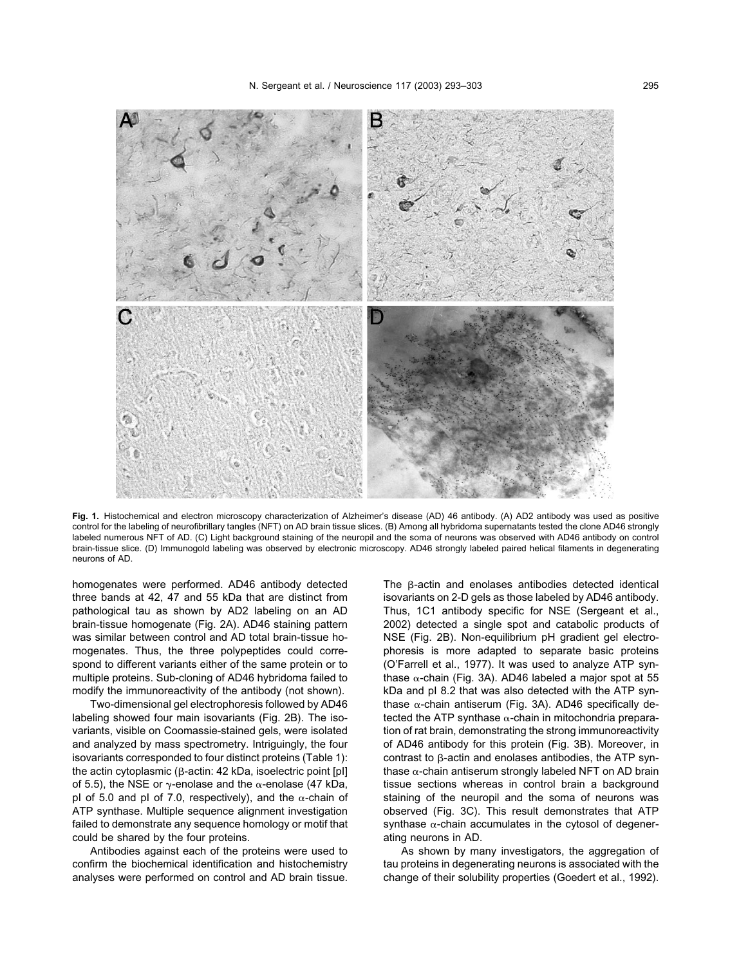<span id="page-2-0"></span>

**Fig. 1.** Histochemical and electron microscopy characterization of Alzheimer's disease (AD) 46 antibody. (A) AD2 antibody was used as positive control for the labeling of neurofibrillary tangles (NFT) on AD brain tissue slices. (B) Among all hybridoma supernatants tested the clone AD46 strongly labeled numerous NFT of AD. (C) Light background staining of the neuropil and the soma of neurons was observed with AD46 antibody on control brain-tissue slice. (D) Immunogold labeling was observed by electronic microscopy. AD46 strongly labeled paired helical filaments in degenerating neurons of AD.

homogenates were performed. AD46 antibody detected three bands at 42, 47 and 55 kDa that are distinct from pathological tau as shown by AD2 labeling on an AD brain-tissue homogenate [\(Fig. 2](#page-3-0)A). AD46 staining pattern was similar between control and AD total brain-tissue homogenates. Thus, the three polypeptides could correspond to different variants either of the same protein or to multiple proteins. Sub-cloning of AD46 hybridoma failed to modify the immunoreactivity of the antibody (not shown).

Two-dimensional gel electrophoresis followed by AD46 labeling showed four main isovariants [\(Fig. 2B\)](#page-3-0). The isovariants, visible on Coomassie-stained gels, were isolated and analyzed by mass spectrometry. Intriguingly, the four isovariants corresponded to four distinct proteins ([Table 1](#page-4-0)): the actin cytoplasmic ( $\beta$ -actin: 42 kDa, isoelectric point [pl] of 5.5), the NSE or  $\gamma$ -enolase and the  $\alpha$ -enolase (47 kDa, pI of 5.0 and pI of 7.0, respectively), and the  $\alpha$ -chain of ATP synthase. Multiple sequence alignment investigation failed to demonstrate any sequence homology or motif that could be shared by the four proteins.

Antibodies against each of the proteins were used to confirm the biochemical identification and histochemistry analyses were performed on control and AD brain tissue. The B-actin and enolases antibodies detected identical isovariants on 2-D gels as those labeled by AD46 antibody. Thus, 1C1 antibody specific for NSE [\(Sergeant et al.,](#page-9-0) [2002\)](#page-9-0) detected a single spot and catabolic products of NSE [\(Fig. 2B](#page-3-0)). Non-equilibrium pH gradient gel electrophoresis is more adapted to separate basic proteins [\(O'Farrell et al., 1977\)](#page-10-0). It was used to analyze ATP synthase  $\alpha$ -chain ([Fig. 3A](#page-4-0)). AD46 labeled a major spot at 55 kDa and pI 8.2 that was also detected with the ATP synthase  $\alpha$ -chain antiserum [\(Fig. 3A](#page-4-0)). AD46 specifically detected the ATP synthase  $\alpha$ -chain in mitochondria preparation of rat brain, demonstrating the strong immunoreactivity of AD46 antibody for this protein ([Fig. 3B](#page-4-0)). Moreover, in contrast to  $\beta$ -actin and enolases antibodies, the ATP synthase  $\alpha$ -chain antiserum strongly labeled NFT on AD brain tissue sections whereas in control brain a background staining of the neuropil and the soma of neurons was observed [\(Fig. 3C\)](#page-4-0). This result demonstrates that ATP synthase  $\alpha$ -chain accumulates in the cytosol of degenerating neurons in AD.

As shown by many investigators, the aggregation of tau proteins in degenerating neurons is associated with the change of their solubility properties [\(Goedert et al., 1992\)](#page-9-0).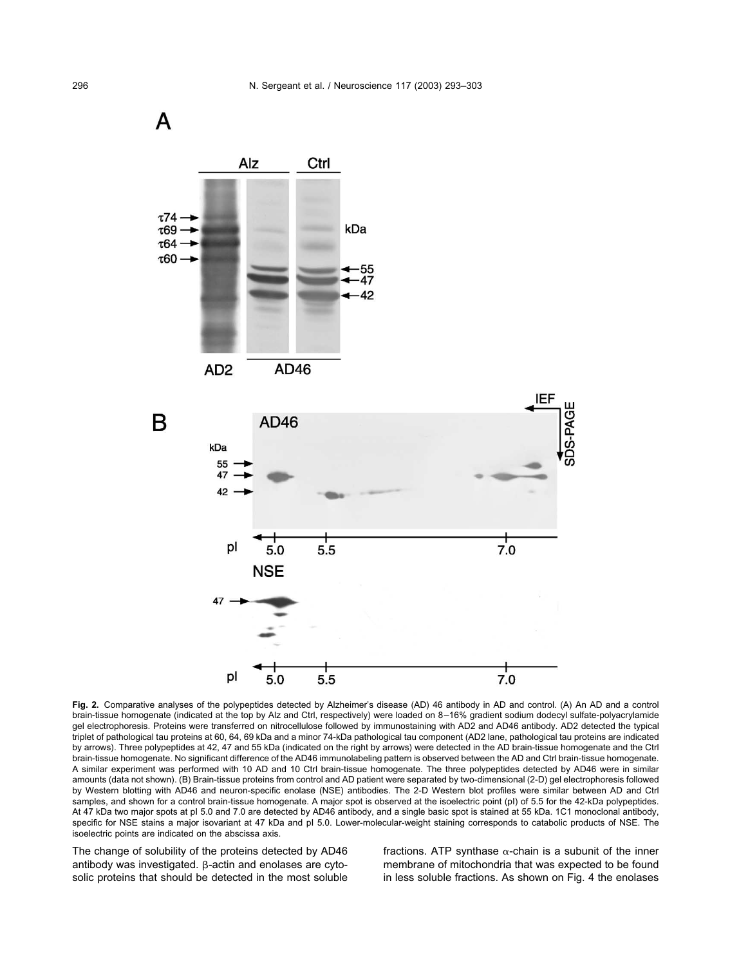<span id="page-3-0"></span>

Fig. 2. Comparative analyses of the polypeptides detected by Alzheimer's disease (AD) 46 antibody in AD and control. (A) An AD and a control brain-tissue homogenate (indicated at the top by Alz and Ctrl, respectively) were loaded on 8–16% gradient sodium dodecyl sulfate-polyacrylamide gel electrophoresis. Proteins were transferred on nitrocellulose followed by immunostaining with AD2 and AD46 antibody. AD2 detected the typical triplet of pathological tau proteins at 60, 64, 69 kDa and a minor 74-kDa pathological tau component (AD2 lane, pathological tau proteins are indicated by arrows). Three polypeptides at 42, 47 and 55 kDa (indicated on the right by arrows) were detected in the AD brain-tissue homogenate and the Ctrl brain-tissue homogenate. No significant difference of the AD46 immunolabeling pattern is observed between the AD and Ctrl brain-tissue homogenate. A similar experiment was performed with 10 AD and 10 Ctrl brain-tissue homogenate. The three polypeptides detected by AD46 were in similar amounts (data not shown). (B) Brain-tissue proteins from control and AD patient were separated by two-dimensional (2-D) gel electrophoresis followed by Western blotting with AD46 and neuron-specific enolase (NSE) antibodies. The 2-D Western blot profiles were similar between AD and Ctrl samples, and shown for a control brain-tissue homogenate. A major spot is observed at the isoelectric point (pI) of 5.5 for the 42-kDa polypeptides. At 47 kDa two major spots at pI 5.0 and 7.0 are detected by AD46 antibody, and a single basic spot is stained at 55 kDa. 1C1 monoclonal antibody, specific for NSE stains a major isovariant at 47 kDa and pI 5.0. Lower-molecular-weight staining corresponds to catabolic products of NSE. The isoelectric points are indicated on the abscissa axis.

The change of solubility of the proteins detected by AD46 antibody was investigated.  $\beta$ -actin and enolases are cytosolic proteins that should be detected in the most soluble fractions. ATP synthase  $\alpha$ -chain is a subunit of the inner membrane of mitochondria that was expected to be found in less soluble fractions. As shown on [Fig. 4](#page-5-0) the enolases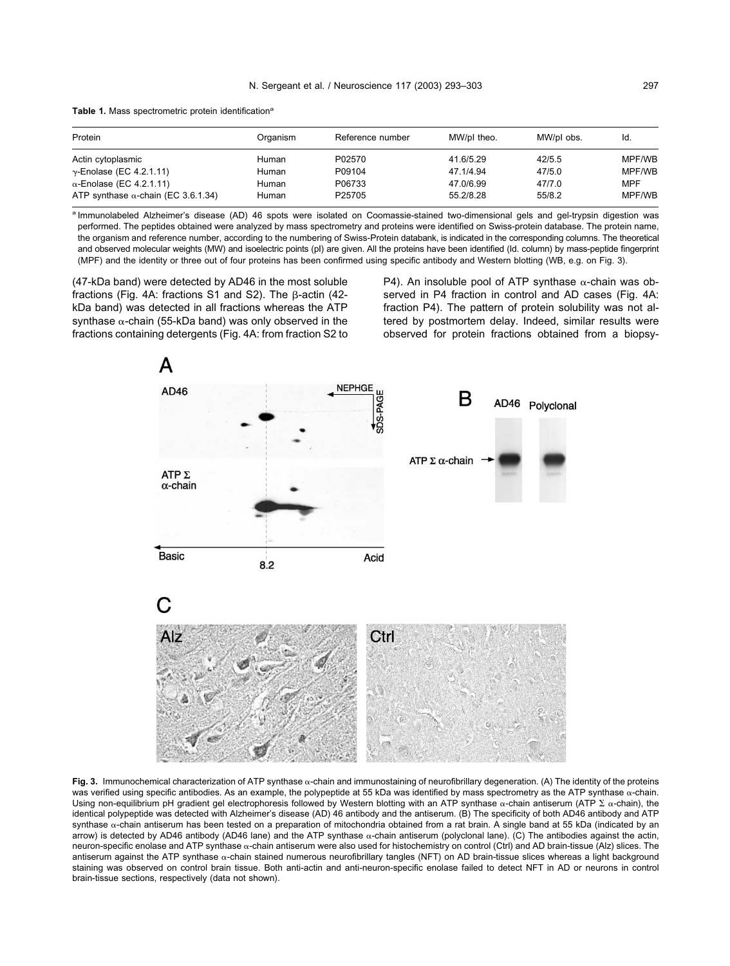<span id="page-4-0"></span>Table 1. Mass spectrometric protein identification<sup>a</sup>

| Protein                                    | Organism | Reference number   | MW/pl theo. | MW/pl obs. | Id.        |
|--------------------------------------------|----------|--------------------|-------------|------------|------------|
| Actin cytoplasmic                          | Human    | P02570             | 41.6/5.29   | 42/5.5     | MPF/WB     |
| $\gamma$ -Enolase (EC 4.2.1.11)            | Human    | P09104             | 47.1/4.94   | 47/5.0     | MPF/WB     |
| $\alpha$ -Enolase (EC 4.2.1.11)            | Human    | P06733             | 47.0/6.99   | 47/7.0     | <b>MPF</b> |
| ATP synthase $\alpha$ -chain (EC 3.6.1.34) | Human    | P <sub>25705</sub> | 55.2/8.28   | 55/8.2     | MPF/WB     |

a Immunolabeled Alzheimer's disease (AD) 46 spots were isolated on Coomassie-stained two-dimensional gels and gel-trypsin digestion was performed. The peptides obtained were analyzed by mass spectrometry and proteins were identified on Swiss-protein database. The protein name, the organism and reference number, according to the numbering of Swiss-Protein databank, is indicated in the corresponding columns. The theoretical and observed molecular weights (MW) and isoelectric points (pI) are given. All the proteins have been identified (Id. column) by mass-peptide fingerprint (MPF) and the identity or three out of four proteins has been confirmed using specific antibody and Western blotting (WB, e.g. on Fig. 3).

(47-kDa band) were detected by AD46 in the most soluble fractions [\(Fig. 4A](#page-5-0): fractions S1 and S2). The B-actin (42kDa band) was detected in all fractions whereas the ATP synthase  $\alpha$ -chain (55-kDa band) was only observed in the fractions containing detergents [\(Fig. 4A](#page-5-0): from fraction S2 to P4). An insoluble pool of ATP synthase  $\alpha$ -chain was ob-served in P4 fraction in control and AD cases [\(Fig. 4A](#page-5-0): fraction P4). The pattern of protein solubility was not altered by postmortem delay. Indeed, similar results were observed for protein fractions obtained from a biopsy-



Fig. 3. Immunochemical characterization of ATP synthase  $\alpha$ -chain and immunostaining of neurofibrillary degeneration. (A) The identity of the proteins was verified using specific antibodies. As an example, the polypeptide at 55 kDa was identified by mass spectrometry as the ATP synthase  $\alpha$ -chain. Using non-equilibrium pH gradient gel electrophoresis followed by Western blotting with an ATP synthase  $\alpha$ -chain antiserum (ATP  $\Sigma$   $\alpha$ -chain), the identical polypeptide was detected with Alzheimer's disease (AD) 46 antibody and the antiserum. (B) The specificity of both AD46 antibody and ATP synthase  $\alpha$ -chain antiserum has been tested on a preparation of mitochondria obtained from a rat brain. A single band at 55 kDa (indicated by an arrow) is detected by AD46 antibody (AD46 lane) and the ATP synthase  $\alpha$ -chain antiserum (polyclonal lane). (C) The antibodies against the actin, neuron-specific enolase and ATP synthase  $\alpha$ -chain antiserum were also used for histochemistry on control (Ctrl) and AD brain-tissue (Alz) slices. The antiserum against the ATP synthase  $\alpha$ -chain stained numerous neurofibrillary tangles (NFT) on AD brain-tissue slices whereas a light background staining was observed on control brain tissue. Both anti-actin and anti-neuron-specific enolase failed to detect NFT in AD or neurons in control brain-tissue sections, respectively (data not shown).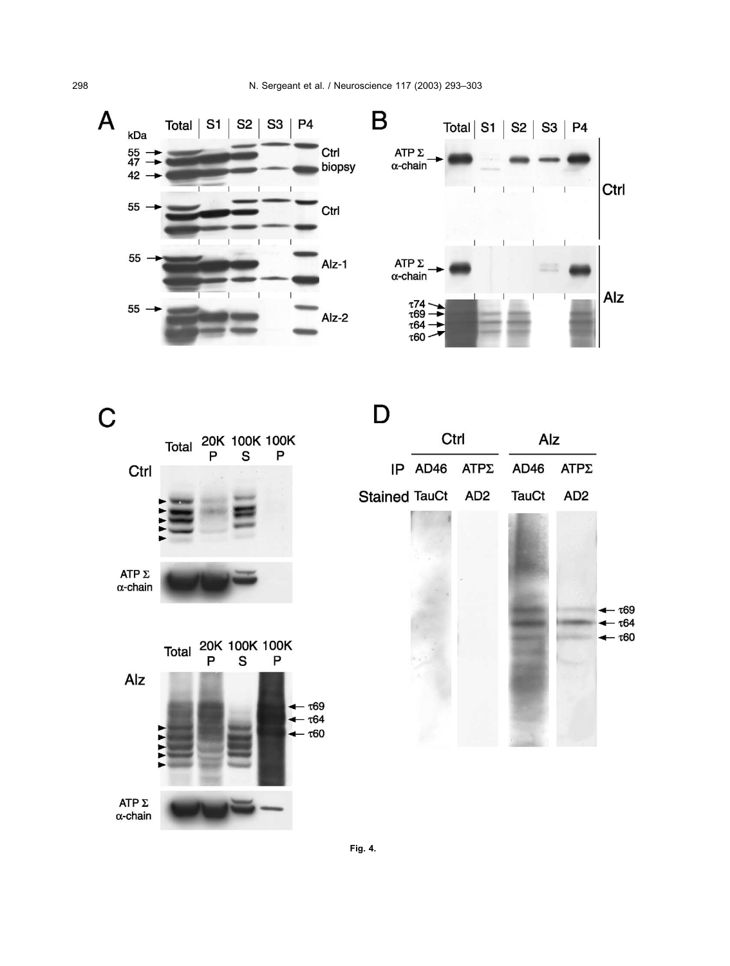<span id="page-5-0"></span>





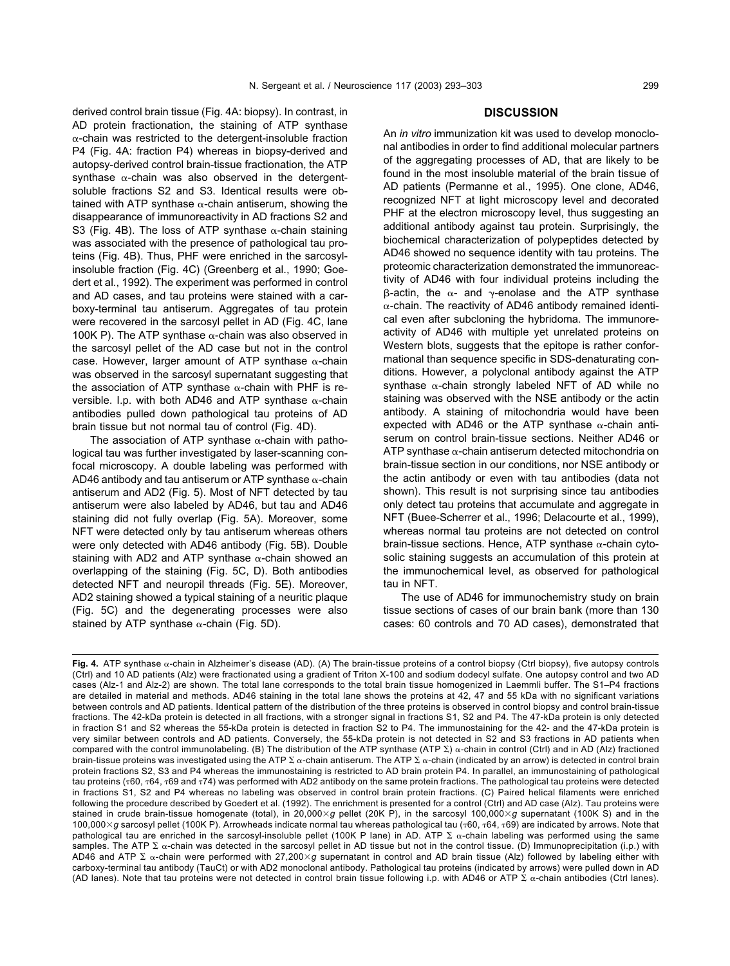derived control brain tissue [\(Fig. 4A](#page-5-0): biopsy). In contrast, in AD protein fractionation, the staining of ATP synthase  $\alpha$ -chain was restricted to the detergent-insoluble fraction P4 [\(Fig. 4A](#page-5-0): fraction P4) whereas in biopsy-derived and autopsy-derived control brain-tissue fractionation, the ATP synthase  $\alpha$ -chain was also observed in the detergentsoluble fractions S2 and S3. Identical results were obtained with ATP synthase  $\alpha$ -chain antiserum, showing the disappearance of immunoreactivity in AD fractions S2 and S3 [\(Fig. 4B\)](#page-5-0). The loss of ATP synthase  $\alpha$ -chain staining was associated with the presence of pathological tau proteins ([Fig. 4B\)](#page-5-0). Thus, PHF were enriched in the sarcosylinsoluble fraction [\(Fig. 4C\)](#page-5-0) [\(Greenberg et al., 1990; Goe](#page-9-0)[dert et al., 1992\)](#page-9-0). The experiment was performed in control and AD cases, and tau proteins were stained with a carboxy-terminal tau antiserum. Aggregates of tau protein were recovered in the sarcosyl pellet in AD ([Fig. 4C](#page-5-0), lane 100K P). The ATP synthase  $\alpha$ -chain was also observed in the sarcosyl pellet of the AD case but not in the control case. However, larger amount of ATP synthase  $\alpha$ -chain was observed in the sarcosyl supernatant suggesting that the association of ATP synthase  $\alpha$ -chain with PHF is reversible. I.p. with both AD46 and ATP synthase  $\alpha$ -chain antibodies pulled down pathological tau proteins of AD brain tissue but not normal tau of control ([Fig. 4D](#page-5-0)).

The association of ATP synthase  $\alpha$ -chain with pathological tau was further investigated by laser-scanning confocal microscopy. A double labeling was performed with AD46 antibody and tau antiserum or ATP synthase  $\alpha$ -chain antiserum and AD2 ([Fig. 5](#page-7-0)). Most of NFT detected by tau antiserum were also labeled by AD46, but tau and AD46 staining did not fully overlap [\(Fig. 5A](#page-7-0)). Moreover, some NFT were detected only by tau antiserum whereas others were only detected with AD46 antibody [\(Fig. 5B\)](#page-7-0). Double staining with AD2 and ATP synthase  $\alpha$ -chain showed an overlapping of the staining [\(Fig. 5C, D](#page-7-0)). Both antibodies detected NFT and neuropil threads [\(Fig. 5E\)](#page-7-0). Moreover, AD2 staining showed a typical staining of a neuritic plaque ([Fig. 5C](#page-7-0)) and the degenerating processes were also stained by ATP synthase  $\alpha$ -chain ([Fig. 5D](#page-7-0)).

# **DISCUSSION**

An *in vitro* immunization kit was used to develop monoclonal antibodies in order to find additional molecular partners of the aggregating processes of AD, that are likely to be found in the most insoluble material of the brain tissue of AD patients [\(Permanne et al., 1995\)](#page-10-0). One clone, AD46, recognized NFT at light microscopy level and decorated PHF at the electron microscopy level, thus suggesting an additional antibody against tau protein. Surprisingly, the biochemical characterization of polypeptides detected by AD46 showed no sequence identity with tau proteins. The proteomic characterization demonstrated the immunoreactivity of AD46 with four individual proteins including the  $\beta$ -actin, the  $\alpha$ - and  $\gamma$ -enolase and the ATP synthase  $\alpha$ -chain. The reactivity of AD46 antibody remained identical even after subcloning the hybridoma. The immunoreactivity of AD46 with multiple yet unrelated proteins on Western blots, suggests that the epitope is rather conformational than sequence specific in SDS-denaturating conditions. However, a polyclonal antibody against the ATP synthase  $\alpha$ -chain strongly labeled NFT of AD while no staining was observed with the NSE antibody or the actin antibody. A staining of mitochondria would have been expected with AD46 or the ATP synthase  $\alpha$ -chain antiserum on control brain-tissue sections. Neither AD46 or ATP synthase  $\alpha$ -chain antiserum detected mitochondria on brain-tissue section in our conditions, nor NSE antibody or the actin antibody or even with tau antibodies (data not shown). This result is not surprising since tau antibodies only detect tau proteins that accumulate and aggregate in NFT [\(Buee-Scherrer et al., 1996; Delacourte et al., 1999\)](#page-9-0), whereas normal tau proteins are not detected on control brain-tissue sections. Hence, ATP synthase  $\alpha$ -chain cytosolic staining suggests an accumulation of this protein at the immunochemical level, as observed for pathological tau in NFT.

The use of AD46 for immunochemistry study on brain tissue sections of cases of our brain bank (more than 130 cases: 60 controls and 70 AD cases), demonstrated that

Fig. 4. ATP synthase  $\alpha$ -chain in Alzheimer's disease (AD). (A) The brain-tissue proteins of a control biopsy (Ctrl biopsy), five autopsy controls (Ctrl) and 10 AD patients (Alz) were fractionated using a gradient of Triton X-100 and sodium dodecyl sulfate. One autopsy control and two AD cases (Alz-1 and Alz-2) are shown. The total lane corresponds to the total brain tissue homogenized in Laemmli buffer. The S1–P4 fractions are detailed in material and methods. AD46 staining in the total lane shows the proteins at 42, 47 and 55 kDa with no significant variations between controls and AD patients. Identical pattern of the distribution of the three proteins is observed in control biopsy and control brain-tissue fractions. The 42-kDa protein is detected in all fractions, with a stronger signal in fractions S1, S2 and P4. The 47-kDa protein is only detected in fraction S1 and S2 whereas the 55-kDa protein is detected in fraction S2 to P4. The immunostaining for the 42- and the 47-kDa protein is very similar between controls and AD patients. Conversely, the 55-kDa protein is not detected in S2 and S3 fractions in AD patients when compared with the control immunolabeling. (B) The distribution of the ATP synthase (ATP  $\Sigma$ )  $\alpha$ -chain in control (Ctrl) and in AD (Alz) fractioned brain-tissue proteins was investigated using the ATP  $\Sigma$   $\alpha$ -chain antiserum. The ATP  $\Sigma$   $\alpha$ -chain (indicated by an arrow) is detected in control brain protein fractions S2, S3 and P4 whereas the immunostaining is restricted to AD brain protein P4. In parallel, an immunostaining of pathological tau proteins ( $\pi$ 60,  $\pi$ 64,  $\pi$ 69 and  $\pi$ 74) was performed with AD2 antibody on the same protein fractions. The pathological tau proteins were detected in fractions S1, S2 and P4 whereas no labeling was observed in control brain protein fractions. (C) Paired helical filaments were enriched following the procedure described by [Goedert et al. \(1992\)](#page-9-0). The enrichment is presented for a control (Ctrl) and AD case (Alz). Tau proteins were stained in crude brain-tissue homogenate (total), in 20,000 $\times$ q pellet (20K P), in the sarcosyl 100,000 $\times$ q supernatant (100K S) and in the 100,000 $\times$ g sarcosyl pellet (100K P). Arrowheads indicate normal tau whereas pathological tau ( $\tau$ 60,  $\tau$ 64,  $\tau$ 69) are indicated by arrows. Note that pathological tau are enriched in the sarcosyl-insoluble pellet (100K P lane) in AD. ATP  $\Sigma$   $\alpha$ -chain labeling was performed using the same samples. The ATP  $\Sigma$   $\alpha$ -chain was detected in the sarcosyl pellet in AD tissue but not in the control tissue. (D) Immunoprecipitation (i.p.) with AD46 and ATP  $\Sigma$   $\alpha$ -chain were performed with 27,200×g supernatant in control and AD brain tissue (Alz) followed by labeling either with carboxy-terminal tau antibody (TauCt) or with AD2 monoclonal antibody. Pathological tau proteins (indicated by arrows) were pulled down in AD (AD lanes). Note that tau proteins were not detected in control brain tissue following i.p. with AD46 or ATP  $\Sigma$   $\alpha$ -chain antibodies (Ctrl lanes).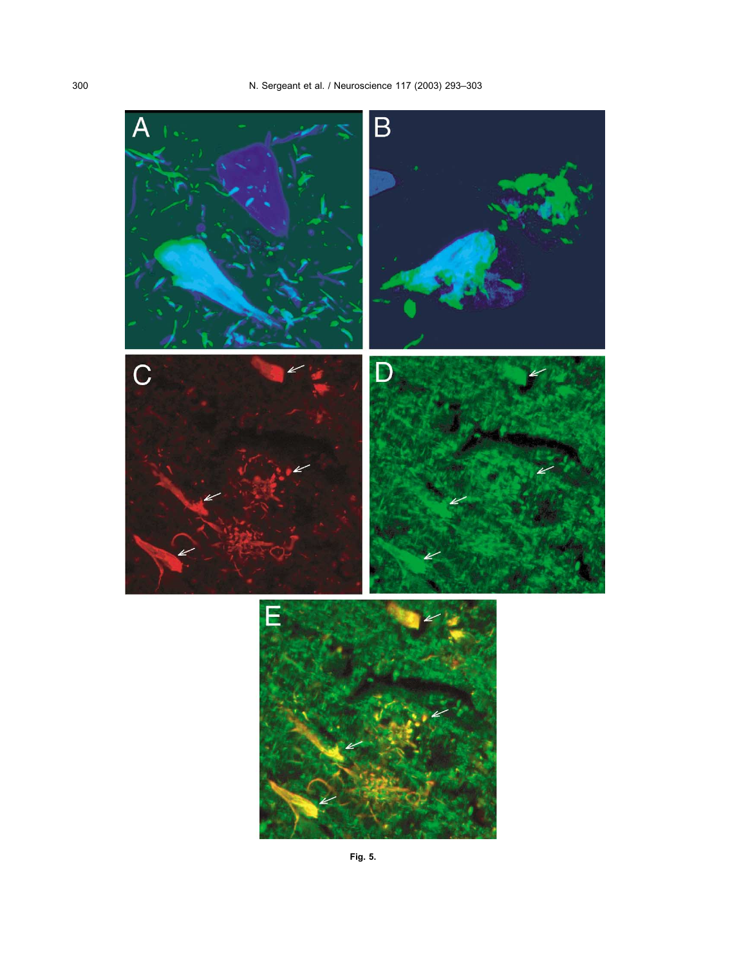<span id="page-7-0"></span>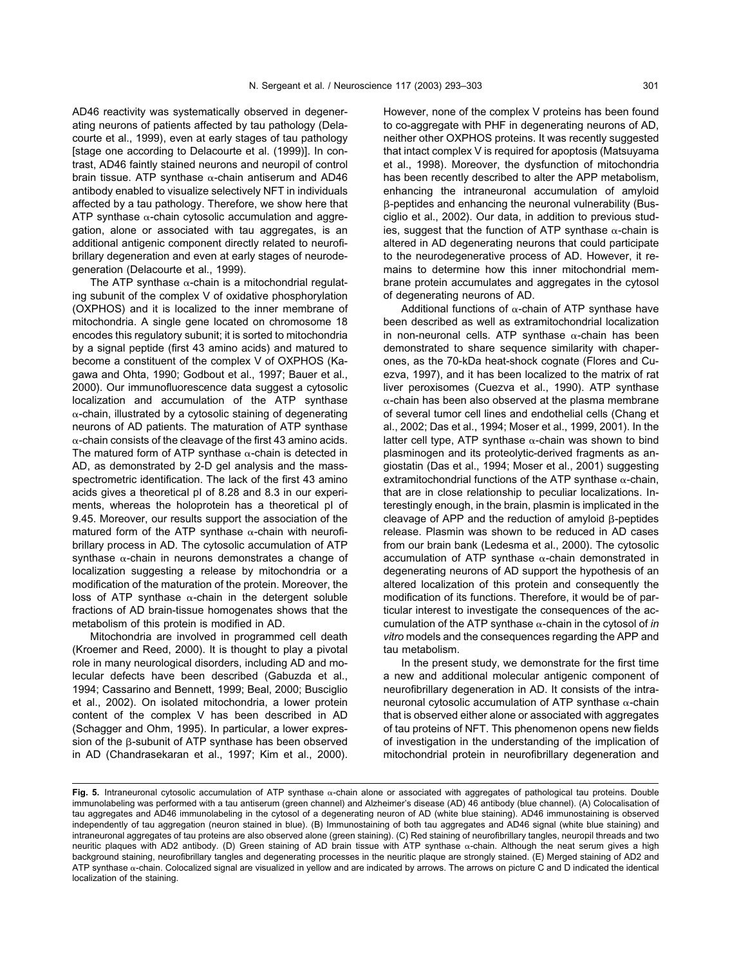AD46 reactivity was systematically observed in degenerating neurons of patients affected by tau pathology [\(Dela](#page-9-0)[courte et al., 1999\),](#page-9-0) even at early stages of tau pathology [stage one according to [Delacourte et al. \(1999\)](#page-9-0)]. In contrast, AD46 faintly stained neurons and neuropil of control brain tissue. ATP synthase  $\alpha$ -chain antiserum and AD46 antibody enabled to visualize selectively NFT in individuals affected by a tau pathology. Therefore, we show here that ATP synthase  $\alpha$ -chain cytosolic accumulation and aggregation, alone or associated with tau aggregates, is an additional antigenic component directly related to neurofibrillary degeneration and even at early stages of neurodegeneration [\(Delacourte et al., 1999\)](#page-9-0).

The ATP synthase  $\alpha$ -chain is a mitochondrial regulating subunit of the complex V of oxidative phosphorylation (OXPHOS) and it is localized to the inner membrane of mitochondria. A single gene located on chromosome 18 encodes this regulatory subunit; it is sorted to mitochondria by a signal peptide (first 43 amino acids) and matured to become a constituent of the complex V of OXPHOS [\(Ka](#page-9-0)[gawa and Ohta, 1990; Godbout et al., 1997; Bauer et al.,](#page-9-0) [2000\).](#page-9-0) Our immunofluorescence data suggest a cytosolic localization and accumulation of the ATP synthase  $\alpha$ -chain, illustrated by a cytosolic staining of degenerating neurons of AD patients. The maturation of ATP synthase  $\alpha$ -chain consists of the cleavage of the first 43 amino acids. The matured form of ATP synthase  $\alpha$ -chain is detected in AD, as demonstrated by 2-D gel analysis and the massspectrometric identification. The lack of the first 43 amino acids gives a theoretical pI of 8.28 and 8.3 in our experiments, whereas the holoprotein has a theoretical pI of 9.45. Moreover, our results support the association of the matured form of the ATP synthase  $\alpha$ -chain with neurofibrillary process in AD. The cytosolic accumulation of ATP synthase  $\alpha$ -chain in neurons demonstrates a change of localization suggesting a release by mitochondria or a modification of the maturation of the protein. Moreover, the loss of ATP synthase  $\alpha$ -chain in the detergent soluble fractions of AD brain-tissue homogenates shows that the metabolism of this protein is modified in AD.

Mitochondria are involved in programmed cell death [\(Kroemer and Reed, 2000\).](#page-9-0) It is thought to play a pivotal role in many neurological disorders, including AD and molecular defects have been described [\(Gabuzda et al.,](#page-9-0) [1994; Cassarino and Bennett, 1999; Beal, 2000; Busciglio](#page-9-0) [et al., 2002\).](#page-9-0) On isolated mitochondria, a lower protein content of the complex V has been described in AD [\(Schagger and Ohm, 1995\)](#page-10-0). In particular, a lower expression of the B-subunit of ATP synthase has been observed in AD [\(Chandrasekaran et al., 1997; Kim et al., 2000\)](#page-9-0).

However, none of the complex V proteins has been found to co-aggregate with PHF in degenerating neurons of AD, neither other OXPHOS proteins. It was recently suggested that intact complex V is required for apoptosis [\(Matsuyama](#page-9-0) [et al., 1998\)](#page-9-0). Moreover, the dysfunction of mitochondria has been recently described to alter the APP metabolism, enhancing the intraneuronal accumulation of amyloid -peptides and enhancing the neuronal vulnerability [\(Bus](#page-9-0)[ciglio et al., 2002\).](#page-9-0) Our data, in addition to previous studies, suggest that the function of ATP synthase  $\alpha$ -chain is altered in AD degenerating neurons that could participate to the neurodegenerative process of AD. However, it remains to determine how this inner mitochondrial membrane protein accumulates and aggregates in the cytosol of degenerating neurons of AD.

Additional functions of  $\alpha$ -chain of ATP synthase have been described as well as extramitochondrial localization in non-neuronal cells. ATP synthase  $\alpha$ -chain has been demonstrated to share sequence similarity with chaperones, as the 70-kDa heat-shock cognate [\(Flores and Cu](#page-9-0)[ezva, 1997\)](#page-9-0), and it has been localized to the matrix of rat liver peroxisomes [\(Cuezva et al., 1990\).](#page-9-0) ATP synthase  $\alpha$ -chain has been also observed at the plasma membrane of several tumor cell lines and endothelial cells [\(Chang et](#page-9-0) [al., 2002; Das et al., 1994; Moser et al., 1999, 2001\).](#page-9-0) In the latter cell type, ATP synthase  $\alpha$ -chain was shown to bind plasminogen and its proteolytic-derived fragments as angiostatin [\(Das et al., 1994; Moser et al., 2001\)](#page-9-0) suggesting extramitochondrial functions of the ATP synthase  $\alpha$ -chain, that are in close relationship to peculiar localizations. Interestingly enough, in the brain, plasmin is implicated in the cleavage of APP and the reduction of amyloid  $\beta$ -peptides release. Plasmin was shown to be reduced in AD cases from our brain bank [\(Ledesma et al., 2000\)](#page-9-0). The cytosolic accumulation of ATP synthase  $\alpha$ -chain demonstrated in degenerating neurons of AD support the hypothesis of an altered localization of this protein and consequently the modification of its functions. Therefore, it would be of particular interest to investigate the consequences of the accumulation of the ATP synthase  $\alpha$ -chain in the cytosol of *in vitro* models and the consequences regarding the APP and tau metabolism.

In the present study, we demonstrate for the first time a new and additional molecular antigenic component of neurofibrillary degeneration in AD. It consists of the intraneuronal cytosolic accumulation of ATP synthase  $\alpha$ -chain that is observed either alone or associated with aggregates of tau proteins of NFT. This phenomenon opens new fields of investigation in the understanding of the implication of mitochondrial protein in neurofibrillary degeneration and

Fig. 5. Intraneuronal cytosolic accumulation of ATP synthase  $\alpha$ -chain alone or associated with aggregates of pathological tau proteins. Double immunolabeling was performed with a tau antiserum (green channel) and Alzheimer's disease (AD) 46 antibody (blue channel). (A) Colocalisation of tau aggregates and AD46 immunolabeling in the cytosol of a degenerating neuron of AD (white blue staining). AD46 immunostaining is observed independently of tau aggregation (neuron stained in blue). (B) Immunostaining of both tau aggregates and AD46 signal (white blue staining) and intraneuronal aggregates of tau proteins are also observed alone (green staining). (C) Red staining of neurofibrillary tangles, neuropil threads and two neuritic plaques with AD2 antibody. (D) Green staining of AD brain tissue with ATP synthase  $\alpha$ -chain. Although the neat serum gives a high background staining, neurofibrillary tangles and degenerating processes in the neuritic plaque are strongly stained. (E) Merged staining of AD2 and ATP synthase  $\alpha$ -chain. Colocalized signal are visualized in yellow and are indicated by arrows. The arrows on picture C and D indicated the identical localization of the staining.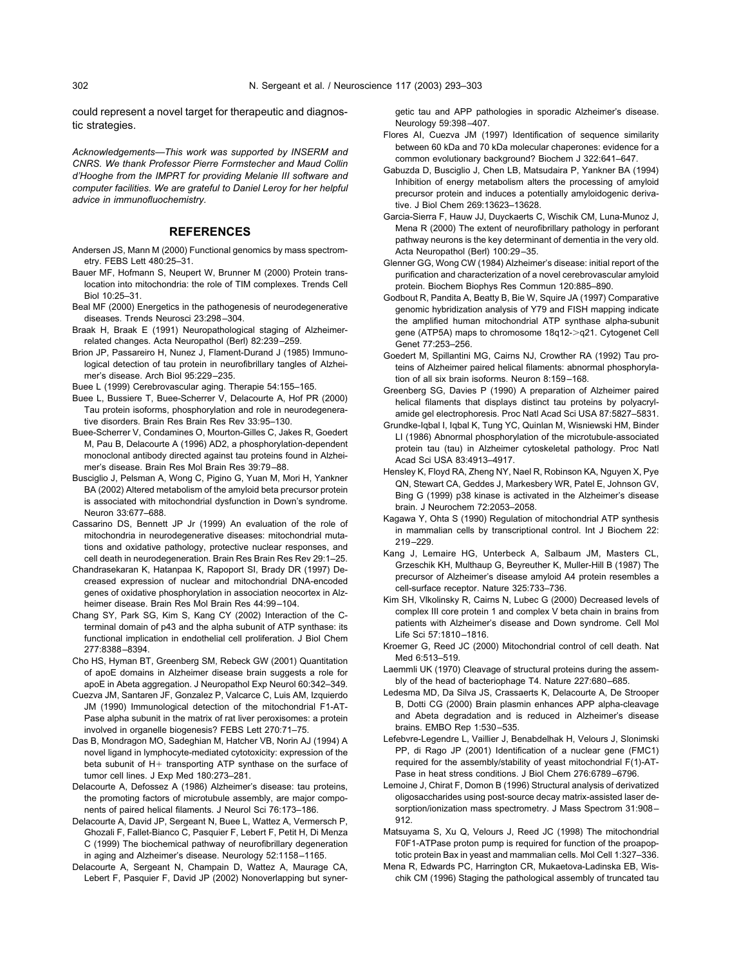<span id="page-9-0"></span>could represent a novel target for therapeutic and diagnostic strategies.

*Acknowledgements—This work was supported by INSERM and CNRS. We thank Professor Pierre Formstecher and Maud Collin d'Hooghe from the IMPRT for providing Melanie III software and computer facilities. We are grateful to Daniel Leroy for her helpful advice in immunofluochemistry.*

## **REFERENCES**

- Andersen JS, Mann M (2000) Functional genomics by mass spectrometry. FEBS Lett 480:25–31.
- Bauer MF, Hofmann S, Neupert W, Brunner M (2000) Protein translocation into mitochondria: the role of TIM complexes. Trends Cell Biol 10:25–31.
- Beal MF (2000) Energetics in the pathogenesis of neurodegenerative diseases. Trends Neurosci 23:298–304.
- Braak H, Braak E (1991) Neuropathological staging of Alzheimerrelated changes. Acta Neuropathol (Berl) 82:239–259.
- Brion JP, Passareiro H, Nunez J, Flament-Durand J (1985) Immunological detection of tau protein in neurofibrillary tangles of Alzheimer's disease. Arch Biol 95:229–235.

Buee L (1999) Cerebrovascular aging. Therapie 54:155–165.

- Buee L, Bussiere T, Buee-Scherrer V, Delacourte A, Hof PR (2000) Tau protein isoforms, phosphorylation and role in neurodegenerative disorders. Brain Res Brain Res Rev 33:95–130.
- Buee-Scherrer V, Condamines O, Mourton-Gilles C, Jakes R, Goedert M, Pau B, Delacourte A (1996) AD2, a phosphorylation-dependent monoclonal antibody directed against tau proteins found in Alzheimer's disease. Brain Res Mol Brain Res 39:79–88.
- Busciglio J, Pelsman A, Wong C, Pigino G, Yuan M, Mori H, Yankner BA (2002) Altered metabolism of the amyloid beta precursor protein is associated with mitochondrial dysfunction in Down's syndrome. Neuron 33:677–688.
- Cassarino DS, Bennett JP Jr (1999) An evaluation of the role of mitochondria in neurodegenerative diseases: mitochondrial mutations and oxidative pathology, protective nuclear responses, and cell death in neurodegeneration. Brain Res Brain Res Rev 29:1–25.
- Chandrasekaran K, Hatanpaa K, Rapoport SI, Brady DR (1997) Decreased expression of nuclear and mitochondrial DNA-encoded genes of oxidative phosphorylation in association neocortex in Alzheimer disease. Brain Res Mol Brain Res 44:99–104.
- Chang SY, Park SG, Kim S, Kang CY (2002) Interaction of the Cterminal domain of p43 and the alpha subunit of ATP synthase: its functional implication in endothelial cell proliferation. J Biol Chem 277:8388–8394.
- Cho HS, Hyman BT, Greenberg SM, Rebeck GW (2001) Quantitation of apoE domains in Alzheimer disease brain suggests a role for apoE in Abeta aggregation. J Neuropathol Exp Neurol 60:342–349.
- Cuezva JM, Santaren JF, Gonzalez P, Valcarce C, Luis AM, Izquierdo JM (1990) Immunological detection of the mitochondrial F1-AT-Pase alpha subunit in the matrix of rat liver peroxisomes: a protein involved in organelle biogenesis? FEBS Lett 270:71–75.
- Das B, Mondragon MO, Sadeghian M, Hatcher VB, Norin AJ (1994) A novel ligand in lymphocyte-mediated cytotoxicity: expression of the beta subunit of H+ transporting ATP synthase on the surface of tumor cell lines. J Exp Med 180:273–281.
- Delacourte A, Defossez A (1986) Alzheimer's disease: tau proteins, the promoting factors of microtubule assembly, are major components of paired helical filaments. J Neurol Sci 76:173–186.
- Delacourte A, David JP, Sergeant N, Buee L, Wattez A, Vermersch P, Ghozali F, Fallet-Bianco C, Pasquier F, Lebert F, Petit H, Di Menza C (1999) The biochemical pathway of neurofibrillary degeneration in aging and Alzheimer's disease. Neurology 52:1158–1165.
- Delacourte A, Sergeant N, Champain D, Wattez A, Maurage CA, Lebert F, Pasquier F, David JP (2002) Nonoverlapping but syner-

getic tau and APP pathologies in sporadic Alzheimer's disease. Neurology 59:398–407.

- Flores AI, Cuezva JM (1997) Identification of sequence similarity between 60 kDa and 70 kDa molecular chaperones: evidence for a common evolutionary background? Biochem J 322:641–647.
- Gabuzda D, Busciglio J, Chen LB, Matsudaira P, Yankner BA (1994) Inhibition of energy metabolism alters the processing of amyloid precursor protein and induces a potentially amyloidogenic derivative. J Biol Chem 269:13623–13628.
- Garcia-Sierra F, Hauw JJ, Duyckaerts C, Wischik CM, Luna-Munoz J, Mena R (2000) The extent of neurofibrillary pathology in perforant pathway neurons is the key determinant of dementia in the very old. Acta Neuropathol (Berl) 100:29–35.
- Glenner GG, Wong CW (1984) Alzheimer's disease: initial report of the purification and characterization of a novel cerebrovascular amyloid protein. Biochem Biophys Res Commun 120:885–890.
- Godbout R, Pandita A, Beatty B, Bie W, Squire JA (1997) Comparative genomic hybridization analysis of Y79 and FISH mapping indicate the amplified human mitochondrial ATP synthase alpha-subunit gene (ATP5A) maps to chromosome 18q12->q21. Cytogenet Cell Genet 77:253–256.
- Goedert M, Spillantini MG, Cairns NJ, Crowther RA (1992) Tau proteins of Alzheimer paired helical filaments: abnormal phosphorylation of all six brain isoforms. Neuron 8:159–168.
- Greenberg SG, Davies P (1990) A preparation of Alzheimer paired helical filaments that displays distinct tau proteins by polyacrylamide gel electrophoresis. Proc Natl Acad Sci USA 87:5827–5831.
- Grundke-Iqbal I, Iqbal K, Tung YC, Quinlan M, Wisniewski HM, Binder LI (1986) Abnormal phosphorylation of the microtubule-associated protein tau (tau) in Alzheimer cytoskeletal pathology. Proc Natl Acad Sci USA 83:4913–4917.
- Hensley K, Floyd RA, Zheng NY, Nael R, Robinson KA, Nguyen X, Pye QN, Stewart CA, Geddes J, Markesbery WR, Patel E, Johnson GV, Bing G (1999) p38 kinase is activated in the Alzheimer's disease brain. J Neurochem 72:2053–2058.
- Kagawa Y, Ohta S (1990) Regulation of mitochondrial ATP synthesis in mammalian cells by transcriptional control. Int J Biochem 22: 219–229.
- Kang J, Lemaire HG, Unterbeck A, Salbaum JM, Masters CL, Grzeschik KH, Multhaup G, Beyreuther K, Muller-Hill B (1987) The precursor of Alzheimer's disease amyloid A4 protein resembles a cell-surface receptor. Nature 325:733–736.
- Kim SH, Vlkolinsky R, Cairns N, Lubec G (2000) Decreased levels of complex III core protein 1 and complex V beta chain in brains from patients with Alzheimer's disease and Down syndrome. Cell Mol Life Sci 57:1810–1816.
- Kroemer G, Reed JC (2000) Mitochondrial control of cell death. Nat Med 6:513–519.
- Laemmli UK (1970) Cleavage of structural proteins during the assembly of the head of bacteriophage T4. Nature 227:680–685.
- Ledesma MD, Da Silva JS, Crassaerts K, Delacourte A, De Strooper B, Dotti CG (2000) Brain plasmin enhances APP alpha-cleavage and Abeta degradation and is reduced in Alzheimer's disease brains. EMBO Rep 1:530–535.
- Lefebvre-Legendre L, Vaillier J, Benabdelhak H, Velours J, Slonimski PP, di Rago JP (2001) Identification of a nuclear gene (FMC1) required for the assembly/stability of yeast mitochondrial F(1)-AT-Pase in heat stress conditions. J Biol Chem 276:6789–6796.
- Lemoine J, Chirat F, Domon B (1996) Structural analysis of derivatized oligosaccharides using post-source decay matrix-assisted laser desorption/ionization mass spectrometry. J Mass Spectrom 31:908– 912.
- Matsuyama S, Xu Q, Velours J, Reed JC (1998) The mitochondrial F0F1-ATPase proton pump is required for function of the proapoptotic protein Bax in yeast and mammalian cells. Mol Cell 1:327–336.
- Mena R, Edwards PC, Harrington CR, Mukaetova-Ladinska EB, Wischik CM (1996) Staging the pathological assembly of truncated tau